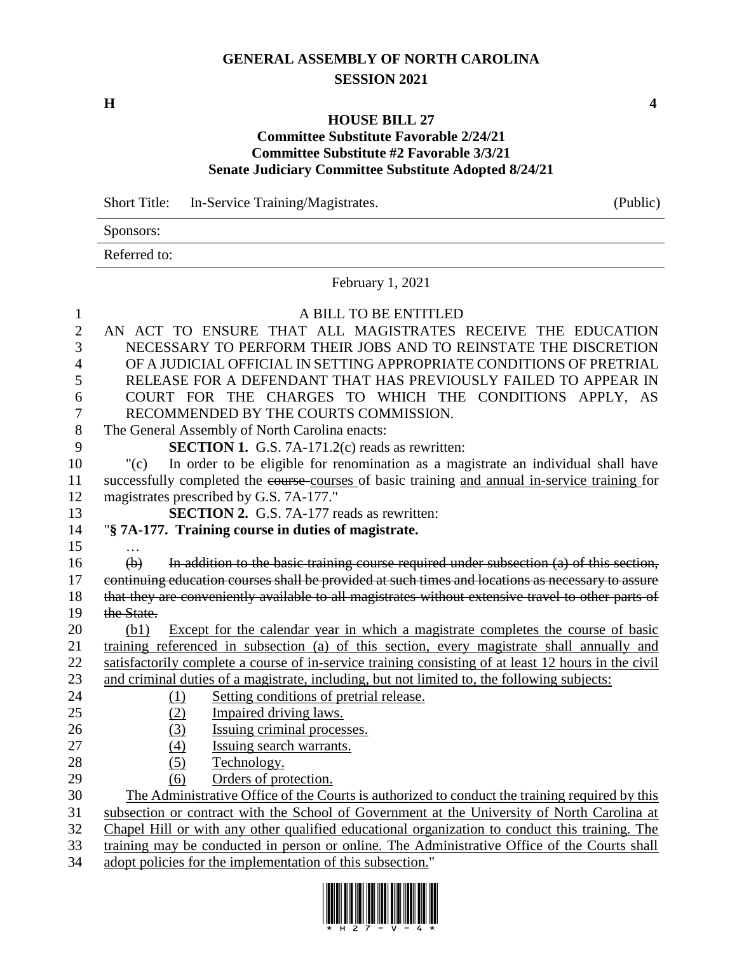## **GENERAL ASSEMBLY OF NORTH CAROLINA SESSION 2021**

**H 4**

## **HOUSE BILL 27**

## **Committee Substitute Favorable 2/24/21 Committee Substitute #2 Favorable 3/3/21 Senate Judiciary Committee Substitute Adopted 8/24/21**

Short Title: In-Service Training/Magistrates. (Public)

Sponsors:

Referred to:

February 1, 2021

| $\mathbf{1}$     | A BILL TO BE ENTITLED                                                                                  |
|------------------|--------------------------------------------------------------------------------------------------------|
| $\mathbf{2}$     | AN ACT TO ENSURE THAT ALL MAGISTRATES RECEIVE THE EDUCATION                                            |
| 3                | NECESSARY TO PERFORM THEIR JOBS AND TO REINSTATE THE DISCRETION                                        |
| 4                | OF A JUDICIAL OFFICIAL IN SETTING APPROPRIATE CONDITIONS OF PRETRIAL                                   |
| 5                | RELEASE FOR A DEFENDANT THAT HAS PREVIOUSLY FAILED TO APPEAR IN                                        |
| 6                | COURT FOR THE CHARGES TO WHICH THE CONDITIONS APPLY, AS                                                |
| $\boldsymbol{7}$ | RECOMMENDED BY THE COURTS COMMISSION.                                                                  |
| $8\,$            | The General Assembly of North Carolina enacts:                                                         |
| 9                | <b>SECTION 1.</b> G.S. 7A-171.2(c) reads as rewritten:                                                 |
| 10               | In order to be eligible for renomination as a magistrate an individual shall have<br>"(c)              |
| 11               | successfully completed the course courses of basic training and annual in-service training for         |
| 12               | magistrates prescribed by G.S. 7A-177."                                                                |
| 13               | <b>SECTION 2.</b> G.S. 7A-177 reads as rewritten:                                                      |
| 14               | "§ 7A-177. Training course in duties of magistrate.                                                    |
| 15               |                                                                                                        |
| 16               | In addition to the basic training course required under subsection (a) of this section,<br>$\bigoplus$ |
| 17               | continuing education courses shall be provided at such times and locations as necessary to assure      |
| 18               | that they are conveniently available to all magistrates without extensive travel to other parts of     |
| 19               | the State.                                                                                             |
| 20               | Except for the calendar year in which a magistrate completes the course of basic<br>(b1)               |
| 21               | training referenced in subsection (a) of this section, every magistrate shall annually and             |
| 22               | satisfactorily complete a course of in-service training consisting of at least 12 hours in the civil   |
| 23               | and criminal duties of a magistrate, including, but not limited to, the following subjects:            |
| 24               | Setting conditions of pretrial release.<br>(1)                                                         |
| 25               | Impaired driving laws.<br>(2)                                                                          |
| 26               | Issuing criminal processes.<br>(3)                                                                     |
| 27               | (4)<br>Issuing search warrants.                                                                        |
| 28               | Technology.<br>(5)                                                                                     |
| 29               | Orders of protection.<br>(6)                                                                           |
| 30               | The Administrative Office of the Courts is authorized to conduct the training required by this         |
| 31               | subsection or contract with the School of Government at the University of North Carolina at            |
| 32               | Chapel Hill or with any other qualified educational organization to conduct this training. The         |
| 33               | training may be conducted in person or online. The Administrative Office of the Courts shall           |
| 34               | adopt policies for the implementation of this subsection."                                             |
|                  |                                                                                                        |